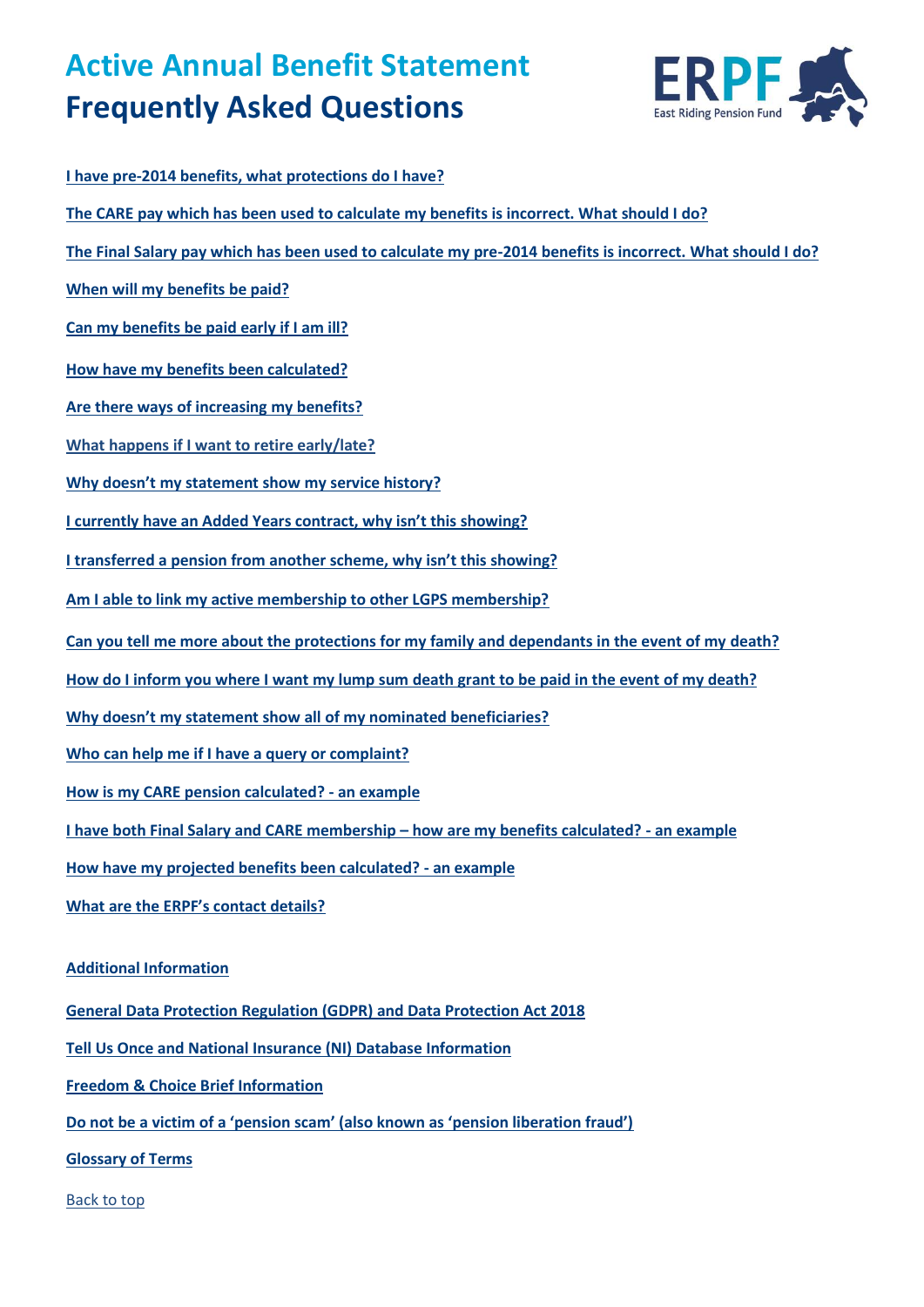# **Active Annual Benefit Statement Frequently Asked Questions**



**[I have pre-2014 benefits, what protections do I have?](#page-1-0) The CARE pay [which has been used to calculate my benefits is incorrect. What should I do?](#page-1-1) [The Final Salary pay which has been used to calculate my pre-2014 benefits is incorrect. What should I do?](#page-1-1) [When will my benefits be paid?](#page-3-0) [Can my benefits be paid early if I am ill?](#page-2-0) How have my [benefits been calculated?](#page-2-1) [Are there ways of increasing my benefits?](#page-3-0) [What happens if I want to retire early/late?](#page-3-1) [Why doesn't my statement show](#page-6-0) my service history? [I currently have an Added Years contract, why isn't this showing?](#page-4-0) I transferred a pension from ano[ther scheme, why isn't this showing?](#page-4-1) [Am I able to link my active membership to other LGPS membership?](#page-4-0) [Can you tell me more about the protections for my family and dependants in the event of my](#page-5-0) death? [How do I inform you where I want my lump sum death grant](#page-5-1) to be paid in the event of my death? [Why doesn't my statement show all of my nominated beneficiaries?](#page-6-0) [Who can help me if I have a query or complaint?](#page-6-1) [How is my CARE pension calculated?](#page-10-0) - an example [I have both Final Salary and CARE membership](#page-8-0) – how are my benefits calculated? - an example [How have my projected benefits been calculated?](#page-9-0) - an example What are the ERPF's contact details? Additional Information General Data Protection Regulation (GDPR) and Data Protection Act 2018 Tell Us Once and National Insurance (NI) Database Information Freedom & Choice Brief Information Do not be a victim of a 'pension scam' (also known as 'pension liberation fraud')** 

**[Glossary of Terms](#page-13-0)**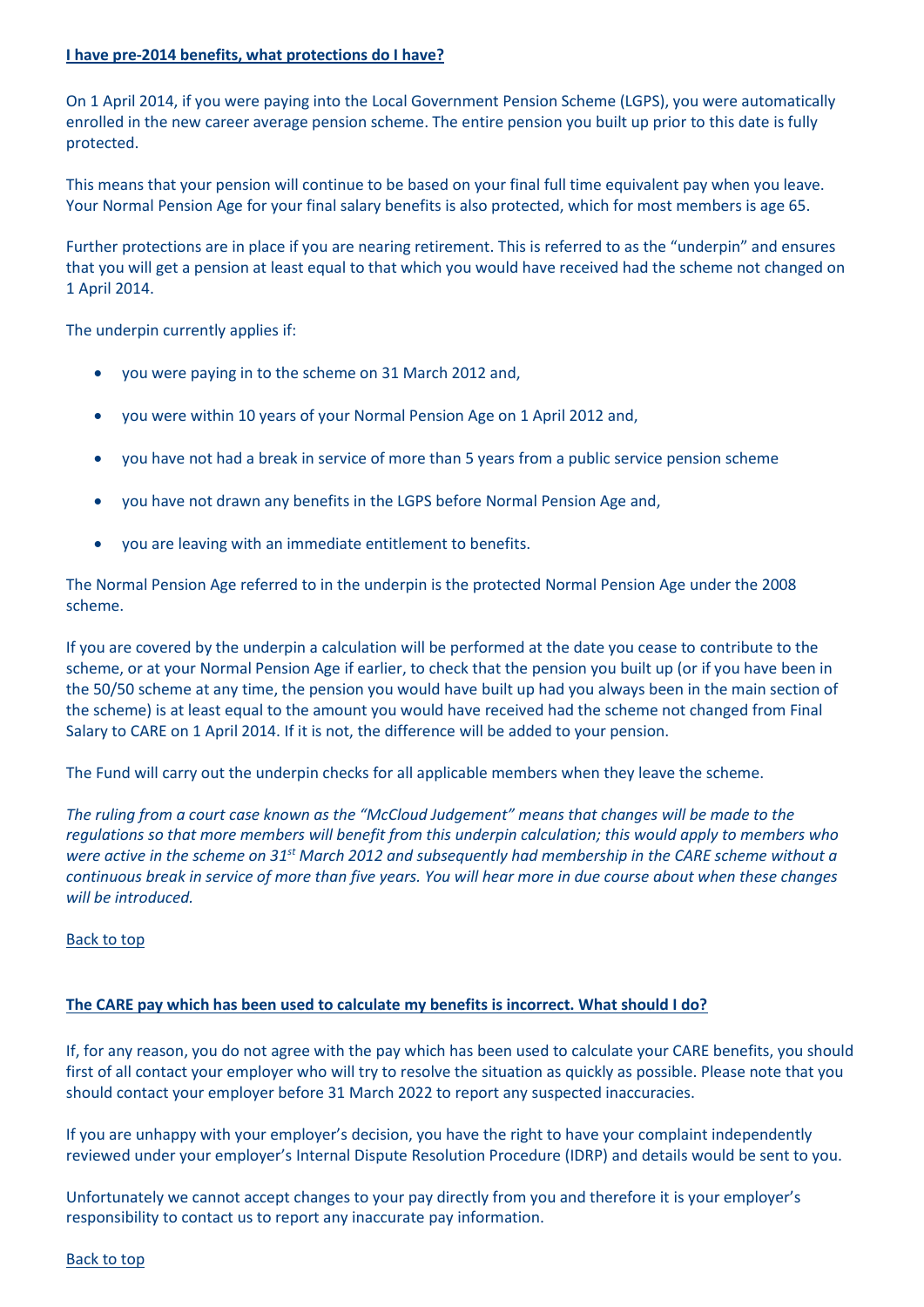# <span id="page-1-1"></span>**I have pre-2014 benefits, what protections do I have?**

On 1 April 2014, if you were paying into the Local Government Pension Scheme (LGPS), you were automatically enrolled in the new career average pension scheme. The entire pension you built up prior to this date is fully protected.

This means that your pension will continue to be based on your final full time equivalent pay when you leave. Your Normal Pension Age for your final salary benefits is also protected, which for most members is age 65.

Further protections are in place if you are nearing retirement. This is referred to as the "underpin" and ensures that you will get a pension at least equal to that which you would have received had the scheme not changed on 1 April 2014.

The underpin currently applies if:

- you were paying in to the scheme on 31 March 2012 and,
- you were within 10 years of your Normal Pension Age on 1 April 2012 and,
- you have not had a break in service of more than 5 years from a public service pension scheme
- you have not drawn any benefits in the LGPS before Normal Pension Age and,
- you are leaving with an immediate entitlement to benefits.

The Normal Pension Age referred to in the underpin is the protected Normal Pension Age under the 2008 scheme.

If you are covered by the underpin a calculation will be performed at the date you cease to contribute to the scheme, or at your Normal Pension Age if earlier, to check that the pension you built up (or if you have been in the 50/50 scheme at any time, the pension you would have built up had you always been in the main section of the scheme) is at least equal to the amount you would have received had the scheme not changed from Final Salary to CARE on 1 April 2014. If it is not, the difference will be added to your pension.

The Fund will carry out the underpin checks for all applicable members when they leave the scheme.

*The ruling from a court case known as the "McCloud Judgement" means that changes will be made to the regulations so that more members will benefit from this underpin calculation; this would apply to members who were active in the scheme on 31st March 2012 and subsequently had membership in the CARE scheme without a continuous break in service of more than five years. You will hear more in due course about when these changes will be introduced.*

# Back to top

# **The CARE pay which has been used to calculate my benefits is incorrect. What should I do?**

If, for any reason, you do not agree with the pay which has been used to calculate your CARE benefits, you should first of all contact your employer who will try to resolve the situation as quickly as possible. Please note that you should contact your employer before 31 March 2022 to report any suspected inaccuracies.

If you are unhappy with your employer's decision, you have the right to have your complaint independently reviewed under your employer's Internal Dispute Resolution Procedure (IDRP) and details would be sent to you.

<span id="page-1-0"></span>Unfortunately we cannot accept changes to your pay directly from you and therefore it is your employer's responsibility to contact us to report any inaccurate pay information.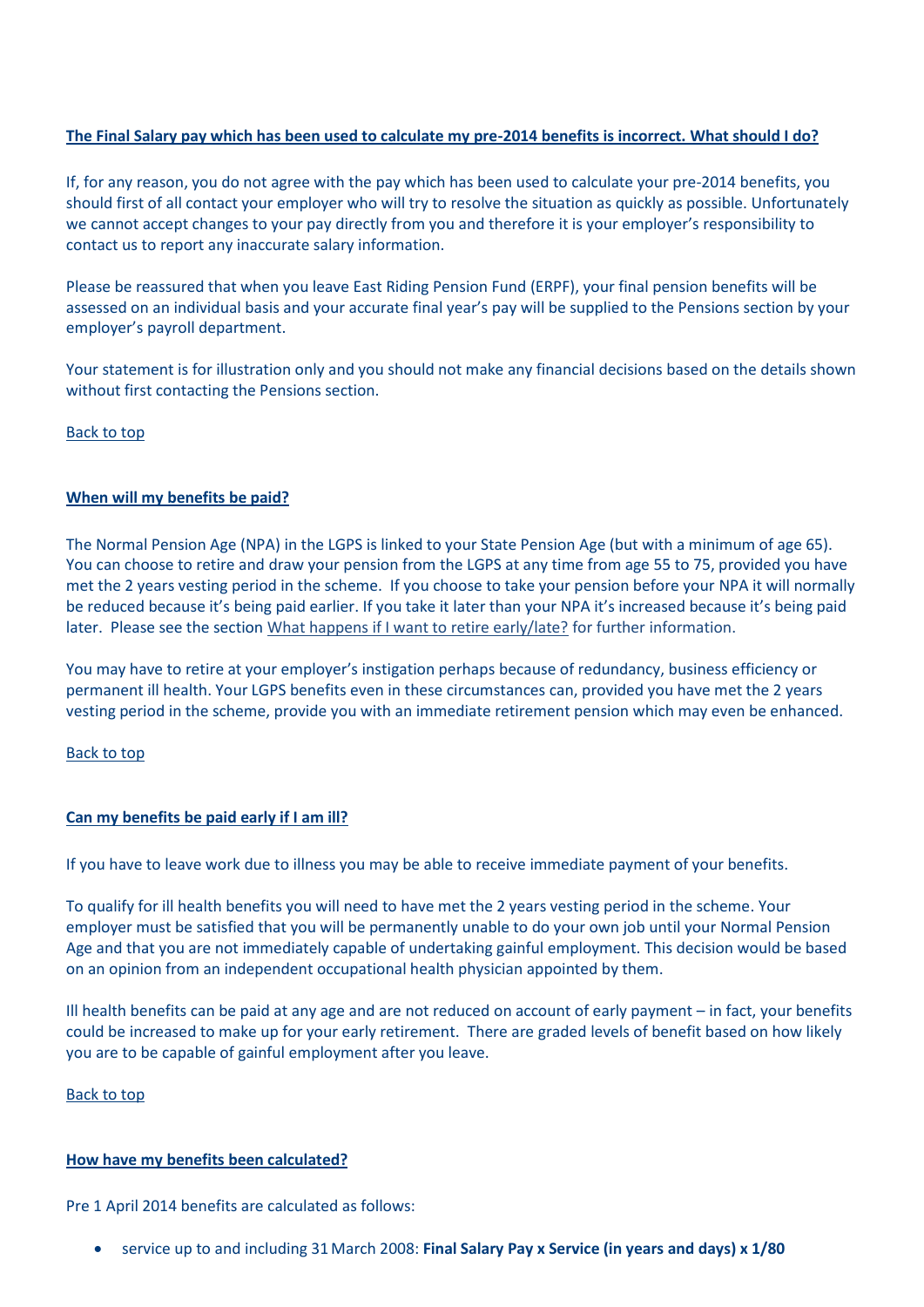# **The Final Salary pay which has been used to calculate my pre-2014 benefits is incorrect. What should I do?**

If, for any reason, you do not agree with the pay which has been used to calculate your pre-2014 benefits, you should first of all contact your employer who will try to resolve the situation as quickly as possible. Unfortunately we cannot accept changes to your pay directly from you and therefore it is your employer's responsibility to contact us to report any inaccurate salary information.

Please be reassured that when you leave East Riding Pension Fund (ERPF), your final pension benefits will be assessed on an individual basis and your accurate final year's pay will be supplied to the Pensions section by your employer's payroll department.

Your statement is for illustration only and you should not make any financial decisions based on the details shown without first contacting the Pensions section.

Back to top

# **When will my benefits be paid?**

The Normal Pension Age (NPA) in the LGPS is linked to your State Pension Age (but with a minimum of age 65). You can choose to retire and draw your pension from the LGPS at any time from age 55 to 75, provided you have met the 2 years vesting period in the scheme. If you choose to take your pension before your NPA it will normally be reduced because it's being paid earlier. If you take it later than your NPA it's increased because it's being paid later. Please see the section [What happens if I want to retire early/late?](#page-3-1) for further information.

You may have to retire at your employer's instigation perhaps because of redundancy, business efficiency or permanent ill health. Your LGPS benefits even in these circumstances can, provided you have met the 2 years vesting period in the scheme, provide you with an immediate retirement pension which may even be enhanced.

Back to top

# <span id="page-2-0"></span>**Can my benefits be paid early if I am ill?**

If you have to leave work due to illness you may be able to receive immediate payment of your benefits.

To qualify for ill health benefits you will need to have met the 2 years vesting period in the scheme. Your employer must be satisfied that you will be permanently unable to do your own job until your Normal Pension Age and that you are not immediately capable of undertaking gainful employment. This decision would be based on an opinion from an independent occupational health physician appointed by them.

Ill health benefits can be paid at any age and are not reduced on account of early payment – in fact, your benefits could be increased to make up for your early retirement. There are graded levels of benefit based on how likely you are to be capable of gainful employment after you leave.

Back to top

#### <span id="page-2-1"></span>**How have my benefits been calculated?**

Pre 1 April 2014 benefits are calculated as follows:

service up to and including 31March 2008: **Final Salary Pay x Service (in years and days) x 1/80**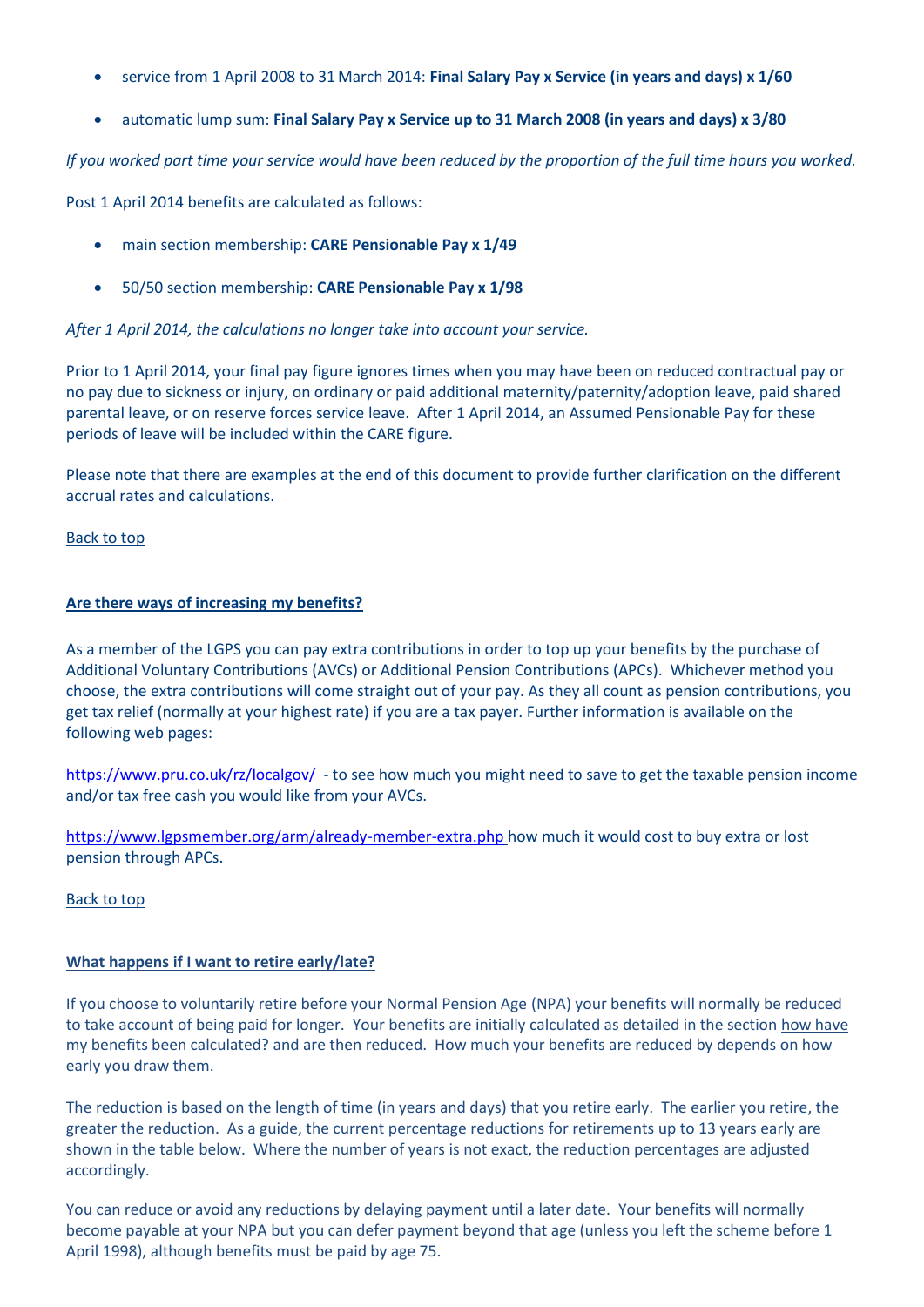- service from 1 April 2008 to 31 March 2014: **Final Salary Pay x Service (in years and days) x 1/60**
- automatic lump sum: **Final Salary Pay x Service up to 31 March 2008 (in years and days) x 3/80**

*If you worked part time your service would have been reduced by the proportion of the full time hours you worked.*

Post 1 April 2014 benefits are calculated as follows:

- main section membership: **CARE Pensionable Pay x 1/49**
- 50/50 section membership: **CARE Pensionable Pay x 1/98**

*After 1 April 2014, the calculations no longer take into account your service.*

Prior to 1 April 2014, your final pay figure ignores times when you may have been on reduced contractual pay or no pay due to sickness or injury, on ordinary or paid additional maternity/paternity/adoption leave, paid shared parental leave, or on reserve forces service leave. After 1 April 2014, an Assumed Pensionable Pay for these periods of leave will be included within the CARE figure.

Please note that there are examples at the end of this document to provide further clarification on the different accrual rates and calculations.

# Back to top

# <span id="page-3-0"></span>**Are there ways of increasing my benefits?**

As a member of the LGPS you can pay extra contributions in order to top up your benefits by the purchase of Additional Voluntary Contributions (AVCs) or Additional Pension Contributions (APCs). Whichever method you choose, the extra contributions will come straight out of your pay. As they all count as pension contributions, you get tax relief (normally at your highest rate) if you are a tax payer. Further information is available on the following web pages:

<https://www.pru.co.uk/rz/localgov/>- to see how much you might need to save to get the taxable pension income and/or tax free cash you would like from your AVCs.

<https://www.lgpsmember.org/arm/already-member-extra.php> how much it would cost to buy extra or lost pension through APCs.

# Back to top

# <span id="page-3-1"></span>**What happens if I want to retire early/late?**

If you choose to voluntarily retire before your Normal Pension Age (NPA) your benefits will normally be reduced to take account of being paid for longer. Your benefits are initially calculated as detailed in the section how [have](#page-2-1)  [my benefits been calculated?](#page-2-1) and are then reduced. How much your benefits are reduced by depends on how early you draw them.

The reduction is based on the length of time (in years and days) that you retire early. The earlier you retire, the greater the reduction. As a guide, the current percentage reductions for retirements up to 13 years early are shown in the table below. Where the number of years is not exact, the reduction percentages are adjusted accordingly.

You can reduce or avoid any reductions by delaying payment until a later date. Your benefits will normally become payable at your NPA but you can defer payment beyond that age (unless you left the scheme before 1 April 1998), although benefits must be paid by age 75.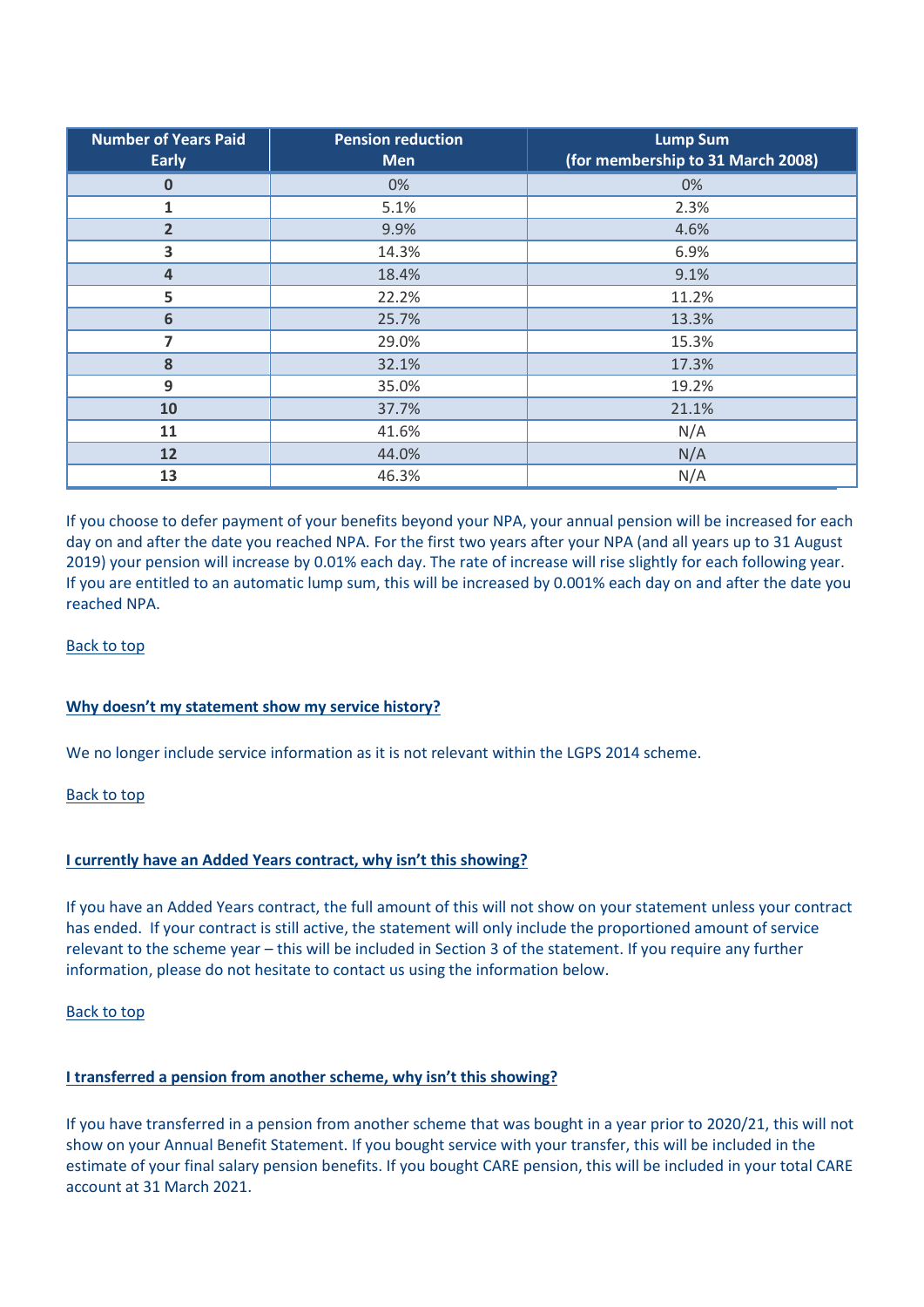| <b>Number of Years Paid</b><br><b>Early</b> | <b>Pension reduction</b><br><b>Men</b> | <b>Lump Sum</b><br>(for membership to 31 March 2008) |
|---------------------------------------------|----------------------------------------|------------------------------------------------------|
| $\Omega$                                    | 0%                                     | 0%                                                   |
| 1                                           | 5.1%                                   | 2.3%                                                 |
| $\overline{2}$                              | 9.9%                                   | 4.6%                                                 |
| 3                                           | 14.3%                                  | 6.9%                                                 |
| $\overline{4}$                              | 18.4%                                  | 9.1%                                                 |
| 5                                           | 22.2%                                  | 11.2%                                                |
| 6                                           | 25.7%                                  | 13.3%                                                |
| 7                                           | 29.0%                                  | 15.3%                                                |
| 8                                           | 32.1%                                  | 17.3%                                                |
| 9                                           | 35.0%                                  | 19.2%                                                |
| 10                                          | 37.7%                                  | 21.1%                                                |
| 11                                          | 41.6%                                  | N/A                                                  |
| 12                                          | 44.0%                                  | N/A                                                  |
| 13                                          | 46.3%                                  | N/A                                                  |

<span id="page-4-0"></span>If you choose to defer payment of your benefits beyond your NPA, your annual pension will be increased for each day on and after the date you reached NPA. For the first two years after your NPA (and all years up to 31 August 2019) your pension will increase by 0.01% each day. The rate of increase will rise slightly for each following year. If you are entitled to an automatic lump sum, this will be increased by 0.001% each day on and after the date you reached NPA.

Back to top

# **Why doesn't my statement show my service history?**

We no longer include service information as it is not relevant within the LGPS 2014 scheme.

Back to top

# **I currently have an Added Years contract, why isn't this showing?**

If you have an Added Years contract, the full amount of this will not show on your statement unless your contract has ended. If your contract is still active, the statement will only include the proportioned amount of service relevant to the scheme year – this will be included in Section 3 of the statement. If you require any further information, please do not hesitate to contact us using the information below.

# Back to top

# <span id="page-4-1"></span>**I transferred a pension from another scheme, why isn't this showing?**

If you have transferred in a pension from another scheme that was bought in a year prior to 2020/21, this will not show on your Annual Benefit Statement. If you bought service with your transfer, this will be included in the estimate of your final salary pension benefits. If you bought CARE pension, this will be included in your total CARE account at 31 March 2021.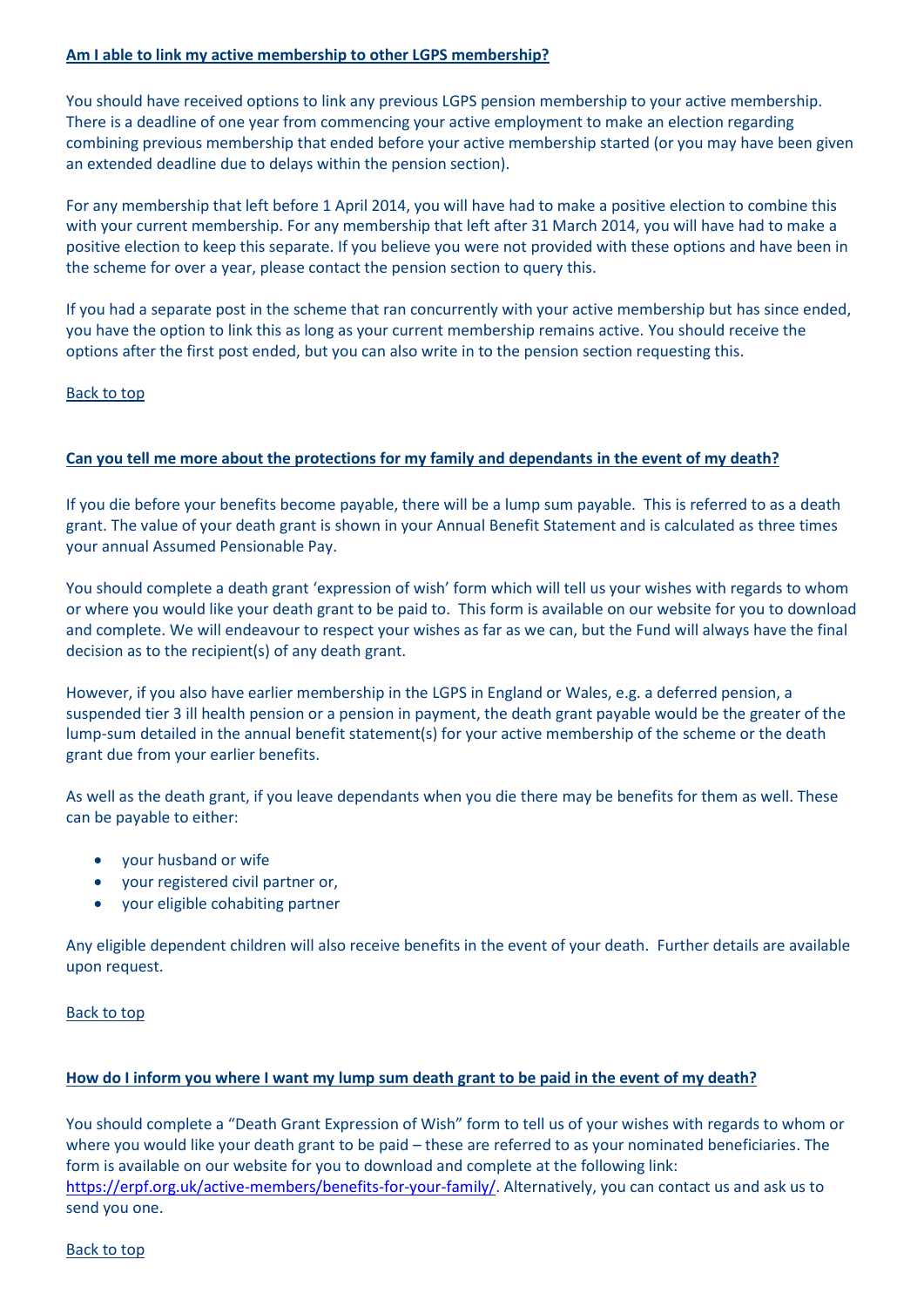# **Am I able to link my active membership to other LGPS membership?**

You should have received options to link any previous LGPS pension membership to your active membership. There is a deadline of one year from commencing your active employment to make an election regarding combining previous membership that ended before your active membership started (or you may have been given an extended deadline due to delays within the pension section).

For any membership that left before 1 April 2014, you will have had to make a positive election to combine this with your current membership. For any membership that left after 31 March 2014, you will have had to make a positive election to keep this separate. If you believe you were not provided with these options and have been in the scheme for over a year, please contact the pension section to query this.

If you had a separate post in the scheme that ran concurrently with your active membership but has since ended, you have the option to link this as long as your current membership remains active. You should receive the options after the first post ended, but you can also write in to the pension section requesting this.

# Back to top

# <span id="page-5-0"></span>**Can you tell me more about the protections for my family and dependants in the event of my death?**

If you die before your benefits become payable, there will be a lump sum payable. This is referred to as a death grant. The value of your death grant is shown in your Annual Benefit Statement and is calculated as three times your annual Assumed Pensionable Pay.

You should complete a death grant 'expression of wish' form which will tell us your wishes with regards to whom or where you would like your death grant to be paid to. This form is available on our website for you to download and complete. We will endeavour to respect your wishes as far as we can, but the Fund will always have the final decision as to the recipient(s) of any death grant.

However, if you also have earlier membership in the LGPS in England or Wales, e.g. a deferred pension, a suspended tier 3 ill health pension or a pension in payment, the death grant payable would be the greater of the lump-sum detailed in the annual benefit statement(s) for your active membership of the scheme or the death grant due from your earlier benefits.

As well as the death grant, if you leave dependants when you die there may be benefits for them as well. These can be payable to either:

- your husband or wife
- your registered civil partner or,
- your eligible cohabiting partner

Any eligible dependent children will also receive benefits in the event of your death. Further details are available upon request.

# Back to top

# <span id="page-5-1"></span>**How do I inform you where I want my lump sum death grant to be paid in the event of my death?**

You should complete a "Death Grant Expression of Wish" form to tell us of your wishes with regards to whom or where you would like your death grant to be paid – these are referred to as your nominated beneficiaries. The form is available on our website for you to download and complete at the following link: [https://erpf.org.uk/active-members/benefits-for-your-family/.](https://erpf.org.uk/active-members/benefits-for-your-family/) Alternatively, you can contact us and ask us to send you one.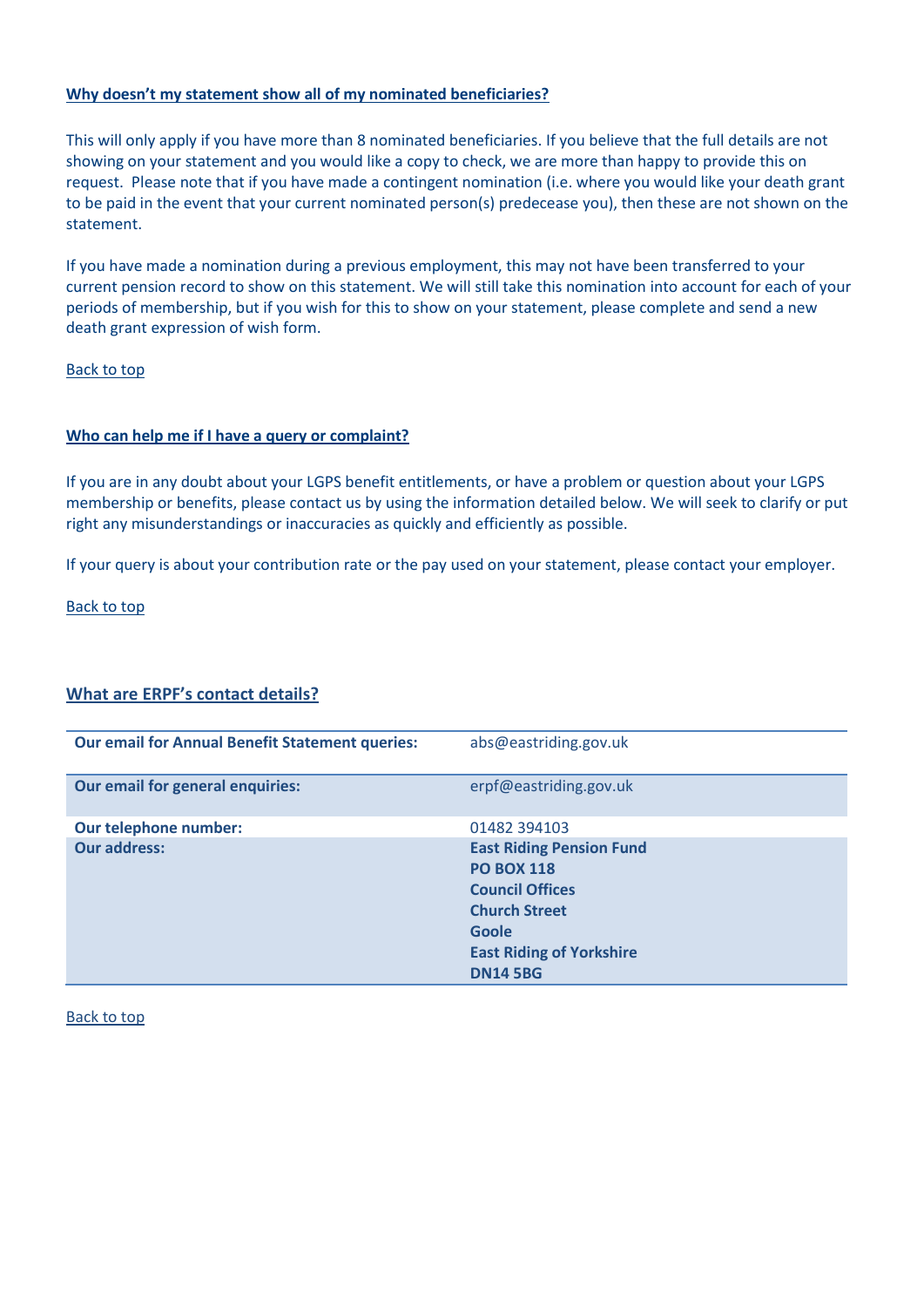# <span id="page-6-0"></span>**Why doesn't my statement show all of my nominated beneficiaries?**

This will only apply if you have more than 8 nominated beneficiaries. If you believe that the full details are not showing on your statement and you would like a copy to check, we are more than happy to provide this on request. Please note that if you have made a contingent nomination (i.e. where you would like your death grant to be paid in the event that your current nominated person(s) predecease you), then these are not shown on the statement.

If you have made a nomination during a previous employment, this may not have been transferred to your current pension record to show on this statement. We will still take this nomination into account for each of your periods of membership, but if you wish for this to show on your statement, please complete and send a new death grant expression of wish form.

# Back to top

#### <span id="page-6-1"></span>**Who can help me if I have a query or complaint?**

If you are in any doubt about your LGPS benefit entitlements, or have a problem or question about your LGPS membership or benefits, please contact us by using the information detailed below. We will seek to clarify or put right any misunderstandings or inaccuracies as quickly and efficiently as possible.

If your query is about your contribution rate or the pay used on your statement, please contact your employer.

Back to top

# **What are ERPF's contact details?**

| <b>Our email for Annual Benefit Statement queries:</b> | abs@eastriding.gov.uk                                                                                                                                                 |
|--------------------------------------------------------|-----------------------------------------------------------------------------------------------------------------------------------------------------------------------|
| Our email for general enquiries:                       | erpf@eastriding.gov.uk                                                                                                                                                |
| Our telephone number:                                  | 01482 394103                                                                                                                                                          |
| <b>Our address:</b>                                    | <b>East Riding Pension Fund</b><br><b>PO BOX 118</b><br><b>Council Offices</b><br><b>Church Street</b><br>Goole<br><b>East Riding of Yorkshire</b><br><b>DN14 5BG</b> |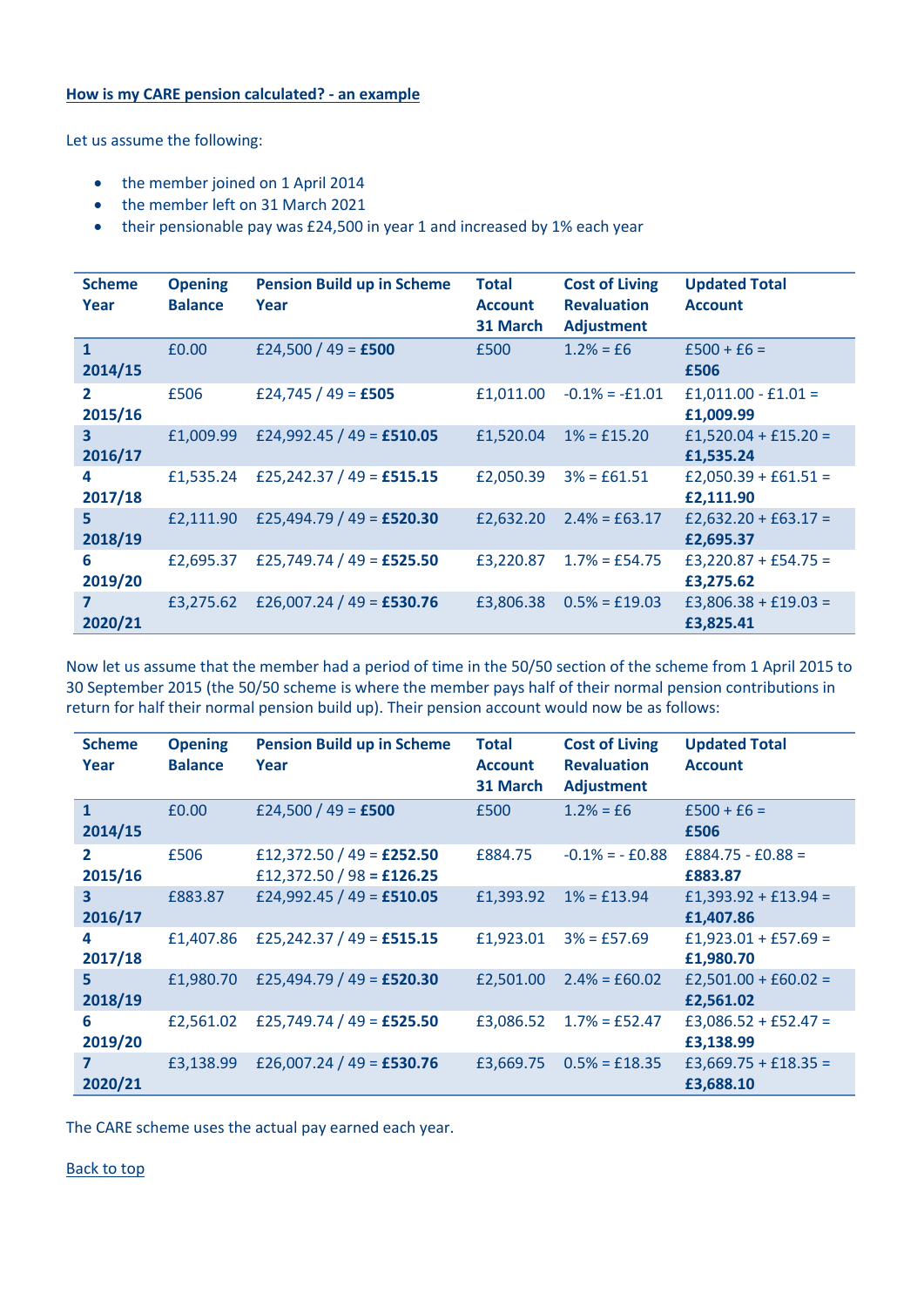# **How is my CARE pension calculated? - an example**

Let us assume the following:

- the member joined on 1 April 2014
- the member left on 31 March 2021
- their pensionable pay was £24,500 in year 1 and increased by 1% each year

| <b>Scheme</b><br>Year              | <b>Opening</b><br><b>Balance</b> | <b>Pension Build up in Scheme</b><br>Year | <b>Total</b><br><b>Account</b><br>31 March | <b>Cost of Living</b><br><b>Revaluation</b><br><b>Adjustment</b> | <b>Updated Total</b><br><b>Account</b> |
|------------------------------------|----------------------------------|-------------------------------------------|--------------------------------------------|------------------------------------------------------------------|----------------------------------------|
| $\mathbf{1}$<br>2014/15            | £0.00                            | £24,500 / 49 = £500                       | £500                                       | $1.2\% = f6$                                                     | $£500 + £6 =$<br>£506                  |
| $\mathbf{2}$<br>2015/16            | £506                             | £24,745 / 49 = £505                       | £1,011.00                                  | $-0.1\% = -0.101$                                                | $£1,011.00 - £1.01 =$<br>£1.009.99     |
| $\overline{\mathbf{3}}$<br>2016/17 | £1,009.99                        | £24,992.45 / 49 = £510.05                 | £1,520.04                                  | $1\% = £15.20$                                                   | $£1,520.04 + £15.20 =$<br>£1,535.24    |
| 4<br>2017/18                       | £1.535.24                        | £25,242.37 / 49 = £515.15                 | £2,050.39                                  | $3% = £61.51$                                                    | $£2,050.39 + £61.51 =$<br>£2,111.90    |
| $\overline{5}$<br>2018/19          | £2.111.90                        | £25,494.79 / 49 = £520.30                 | £2,632.20                                  | $2.4\% = \text{\pounds}63.17$                                    | £2,632.20 + £63.17 =<br>£2,695.37      |
| 6<br>2019/20                       | £2.695.37                        | £25,749.74 / 49 = £525.50                 | £3,220.87                                  | $1.7\% = £54.75$                                                 | £3,220.87 + £54.75 =<br>£3,275.62      |
| $\overline{ }$<br>2020/21          | £3.275.62                        | £26,007.24 / 49 = £530.76                 | £3,806.38                                  | $0.5% = £19.03$                                                  | $£3,806.38 + £19.03 =$<br>£3,825.41    |

Now let us assume that the member had a period of time in the 50/50 section of the scheme from 1 April 2015 to 30 September 2015 (the 50/50 scheme is where the member pays half of their normal pension contributions in return for half their normal pension build up). Their pension account would now be as follows:

| <b>Scheme</b><br>Year              | <b>Opening</b><br><b>Balance</b> | <b>Pension Build up in Scheme</b><br>Year              | <b>Total</b><br><b>Account</b><br>31 March | <b>Cost of Living</b><br><b>Revaluation</b><br><b>Adjustment</b> | <b>Updated Total</b><br><b>Account</b> |
|------------------------------------|----------------------------------|--------------------------------------------------------|--------------------------------------------|------------------------------------------------------------------|----------------------------------------|
| $\mathbf{1}$<br>2014/15            | £0.00                            | £24,500 / 49 = £500                                    | £500                                       | $1.2% = f6$                                                      | $£500 + £6 =$<br>£506                  |
| 2<br>2015/16                       | £506                             | £12,372.50 / 49 = £252.50<br>£12,372.50 / 98 = £126.25 | £884.75                                    | $-0.1\% = -0.88$                                                 | $£884.75 - £0.88 =$<br>£883.87         |
| $\overline{\mathbf{3}}$<br>2016/17 | £883.87                          | £24,992.45 / 49 = £510.05                              | £1,393.92                                  | $1\% = \text{\pounds}13.94$                                      | £1,393.92 + £13.94 =<br>£1,407.86      |
| 4<br>2017/18                       | £1,407.86                        | £25,242.37 / 49 = £515.15                              | £1,923.01                                  | $3% = £57.69$                                                    | £1,923.01 + £57.69 =<br>£1,980.70      |
| 5<br>2018/19                       | £1,980.70                        | £25,494.79 / 49 = £520.30                              | £2,501.00                                  | $2.4\% = £60.02$                                                 | $£2,501.00 + £60.02 =$<br>£2,561.02    |
| 6<br>2019/20                       | £2,561.02                        | £25,749.74 / 49 = £525.50                              | £3,086.52                                  | $1.7\% = £52.47$                                                 | £3,086.52 + £52.47 =<br>£3,138.99      |
| 7<br>2020/21                       | £3,138.99                        | £26,007.24 / 49 = £530.76                              | £3,669.75                                  | $0.5% = £18.35$                                                  | £3,669.75 + £18.35 =<br>£3,688.10      |

The CARE scheme uses the actual pay earned each year.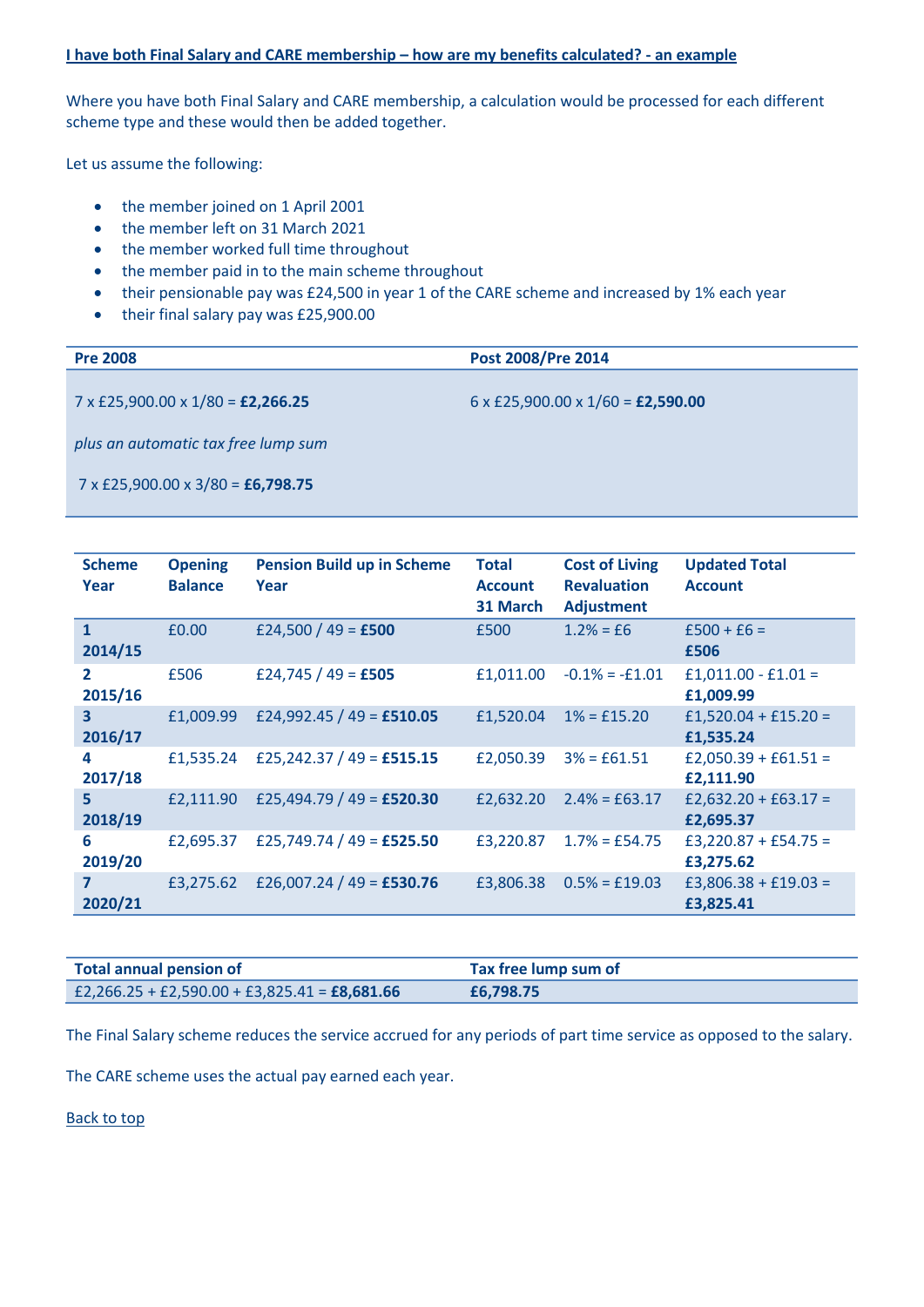#### <span id="page-8-0"></span>**I have both Final Salary and CARE membership – how are my benefits calculated? - an example**

Where you have both Final Salary and CARE membership, a calculation would be processed for each different scheme type and these would then be added together.

Let us assume the following:

- the member joined on 1 April 2001
- the member left on 31 March 2021
- the member worked full time throughout
- the member paid in to the main scheme throughout
- their pensionable pay was £24,500 in year 1 of the CARE scheme and increased by 1% each year
- their final salary pay was £25,900.00

| <b>Pre 2008</b>                                        | Post 2008/Pre 2014                                     |
|--------------------------------------------------------|--------------------------------------------------------|
| $7 \times$ £25,900.00 $\times$ 1/80 = <b>£2,266.25</b> | $6 \times$ £25,900.00 $\times$ 1/60 = <b>£2,590.00</b> |
| plus an automatic tax free lump sum                    |                                                        |
| $7 \times$ £25,900.00 $\times$ 3/80 = £6,798.75        |                                                        |

| <b>Scheme</b><br>Year              | <b>Opening</b><br><b>Balance</b> | <b>Pension Build up in Scheme</b><br>Year | <b>Total</b><br><b>Account</b><br>31 March | <b>Cost of Living</b><br><b>Revaluation</b><br><b>Adjustment</b> | <b>Updated Total</b><br><b>Account</b> |
|------------------------------------|----------------------------------|-------------------------------------------|--------------------------------------------|------------------------------------------------------------------|----------------------------------------|
| $\mathbf{1}$<br>2014/15            | £0.00                            | £24,500 / 49 = £500                       | £500                                       | $1.2\% = f6$                                                     | $£500 + £6 =$<br>£506                  |
| $\mathbf{2}$<br>2015/16            | £506                             | £24,745 / 49 = £505                       | £1,011.00                                  | $-0.1\% = -0.101$                                                | $£1,011.00 - £1.01 =$<br>£1.009.99     |
| $\overline{\mathbf{3}}$<br>2016/17 | £1,009.99                        | £24,992.45 / 49 = £510.05                 | £1,520.04                                  | $1\% = £15.20$                                                   | $£1,520.04 + £15.20 =$<br>£1.535.24    |
| 4<br>2017/18                       | £1,535.24                        | £25,242.37 / 49 = £515.15                 | £2,050.39                                  | $3% = £61.51$                                                    | $£2,050.39 + £61.51 =$<br>£2,111.90    |
| 5<br>2018/19                       | £2.111.90                        | £25,494.79 / 49 = £520.30                 | £2,632.20                                  | $2.4\% = \text{\pounds}63.17$                                    | £2,632.20 + £63.17 =<br>£2,695.37      |
| 6<br>2019/20                       | £2,695.37                        | £25,749.74 / 49 = £525.50                 | £3,220.87                                  | $1.7\% = £54.75$                                                 | $£3,220.87 + £54.75 =$<br>£3,275.62    |
| 7<br>2020/21                       | £3.275.62                        | £26,007.24 / 49 = £530.76                 | £3,806.38                                  | $0.5% = £19.03$                                                  | $£3,806.38 + £19.03 =$<br>£3,825.41    |

| <b>Total annual pension of</b>                       | Tax free lump sum of |
|------------------------------------------------------|----------------------|
| £2,266.25 + £2,590.00 + £3,825.41 = <b>£8,681.66</b> | £6,798.75            |

The Final Salary scheme reduces the service accrued for any periods of part time service as opposed to the salary.

The CARE scheme uses the actual pay earned each year.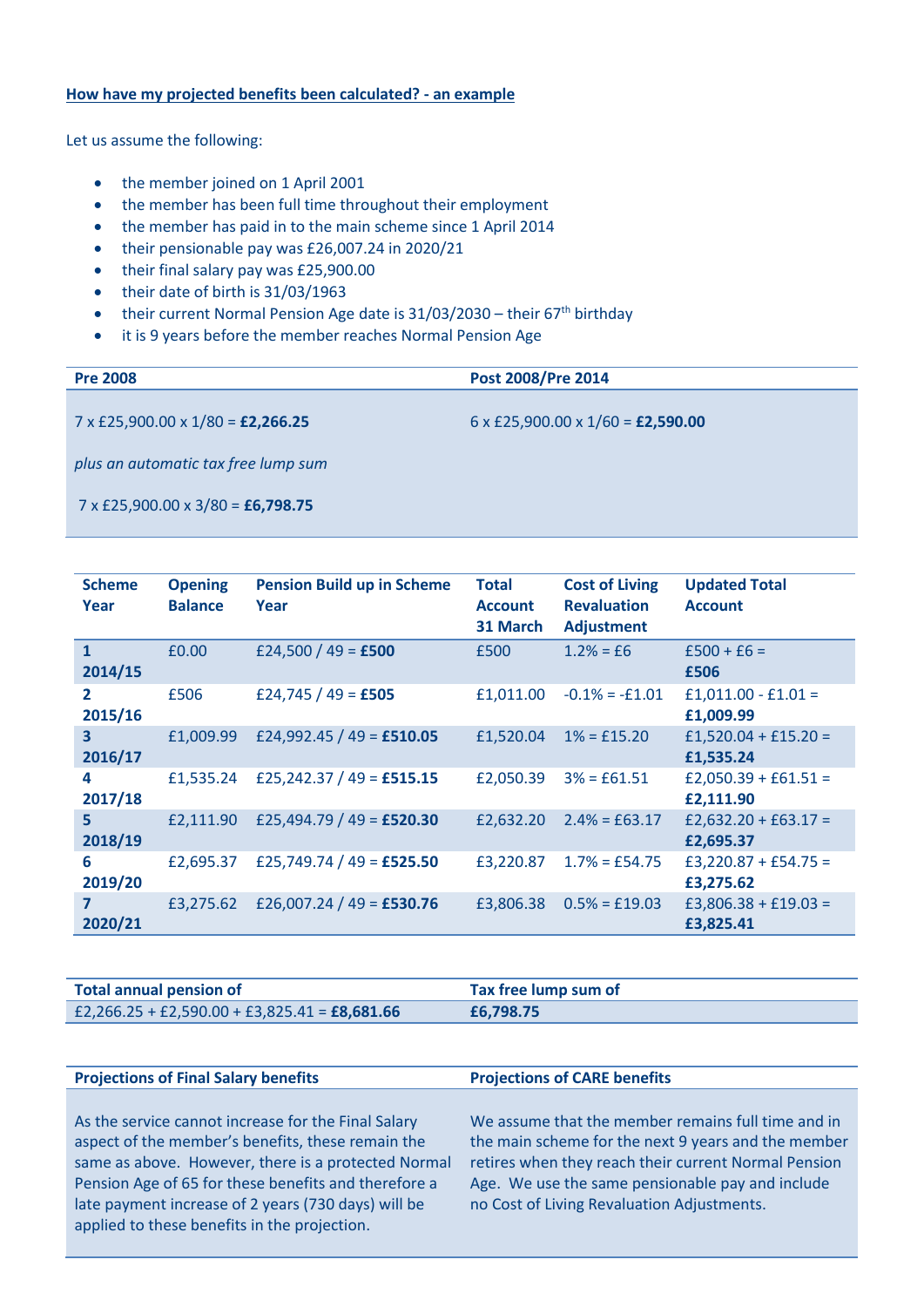#### <span id="page-9-0"></span>**How have my projected benefits been calculated? - an example**

Let us assume the following:

- the member joined on 1 April 2001
- the member has been full time throughout their employment
- the member has paid in to the main scheme since 1 April 2014
- their pensionable pay was £26,007.24 in 2020/21
- their final salary pay was £25,900.00
- $\bullet$  their date of birth is 31/03/1963
- their current Normal Pension Age date is  $31/03/2030$  their  $67<sup>th</sup>$  birthday
- it is 9 years before the member reaches Normal Pension Age

| <b>Pre 2008</b> | Post 2008/Pre 2014 |  |
|-----------------|--------------------|--|
|                 |                    |  |

7 x £25,900.00 x 1/80 = **£2,266.25**

6 x £25,900.00 x 1/60 = **£2,590.00**

*plus an automatic tax free lump sum*

7 x £25,900.00 x 3/80 = **£6,798.75**

| <b>Scheme</b><br>Year              | <b>Opening</b><br><b>Balance</b> | <b>Pension Build up in Scheme</b><br>Year | <b>Total</b><br><b>Account</b><br>31 March | <b>Cost of Living</b><br><b>Revaluation</b><br><b>Adjustment</b> | <b>Updated Total</b><br><b>Account</b> |
|------------------------------------|----------------------------------|-------------------------------------------|--------------------------------------------|------------------------------------------------------------------|----------------------------------------|
| $\mathbf{1}$<br>2014/15            | £0.00                            | £24,500 / 49 = £500                       | £500                                       | $1.2\% = f6$                                                     | $£500 + £6 =$<br>£506                  |
| $\mathbf{2}$<br>2015/16            | £506                             | £24,745 / 49 = £505                       | £1,011.00                                  | $-0.1\% = -0.101$                                                | $£1,011.00 - £1.01 =$<br>£1,009.99     |
| $\overline{\mathbf{3}}$<br>2016/17 | £1,009.99                        | £24,992.45 / 49 = £510.05                 | £1,520.04                                  | $1\% = £15.20$                                                   | $£1,520.04 + £15.20 =$<br>£1,535.24    |
| 4<br>2017/18                       | £1.535.24                        | £25,242.37 / 49 = £515.15                 | £2,050.39                                  | $3% = £61.51$                                                    | £2,050.39 + £61.51 =<br>£2,111.90      |
| $\overline{5}$<br>2018/19          | £2,111.90                        | £25,494.79 / 49 = £520.30                 | £2,632.20                                  | $2.4\% = \text{\pounds}63.17$                                    | £2,632.20 + £63.17 =<br>£2,695.37      |
| 6<br>2019/20                       | £2,695.37                        | £25,749.74 / 49 = £525.50                 | £3,220.87                                  | $1.7\% = £54.75$                                                 | £3,220.87 + £54.75 =<br>£3,275.62      |
| $\overline{7}$<br>2020/21          | £3,275.62                        | £26,007.24 / 49 = £530.76                 | £3,806.38                                  | $0.5% = £19.03$                                                  | $£3,806.38 + £19.03 =$<br>£3,825.41    |

| <b>Total annual pension of</b>                | Tax free lump sum of |
|-----------------------------------------------|----------------------|
| £2,266.25 + £2,590.00 + £3,825.41 = £8,681.66 | £6,798.75            |

#### **Projections of Final Salary benefits Projections of CARE benefits**

As the service cannot increase for the Final Salary aspect of the member's benefits, these remain the same as above. However, there is a protected Normal Pension Age of 65 for these benefits and therefore a late payment increase of 2 years (730 days) will be applied to these benefits in the projection.

We assume that the member remains full time and in the main scheme for the next 9 years and the member retires when they reach their current Normal Pension Age. We use the same pensionable pay and include no Cost of Living Revaluation Adjustments.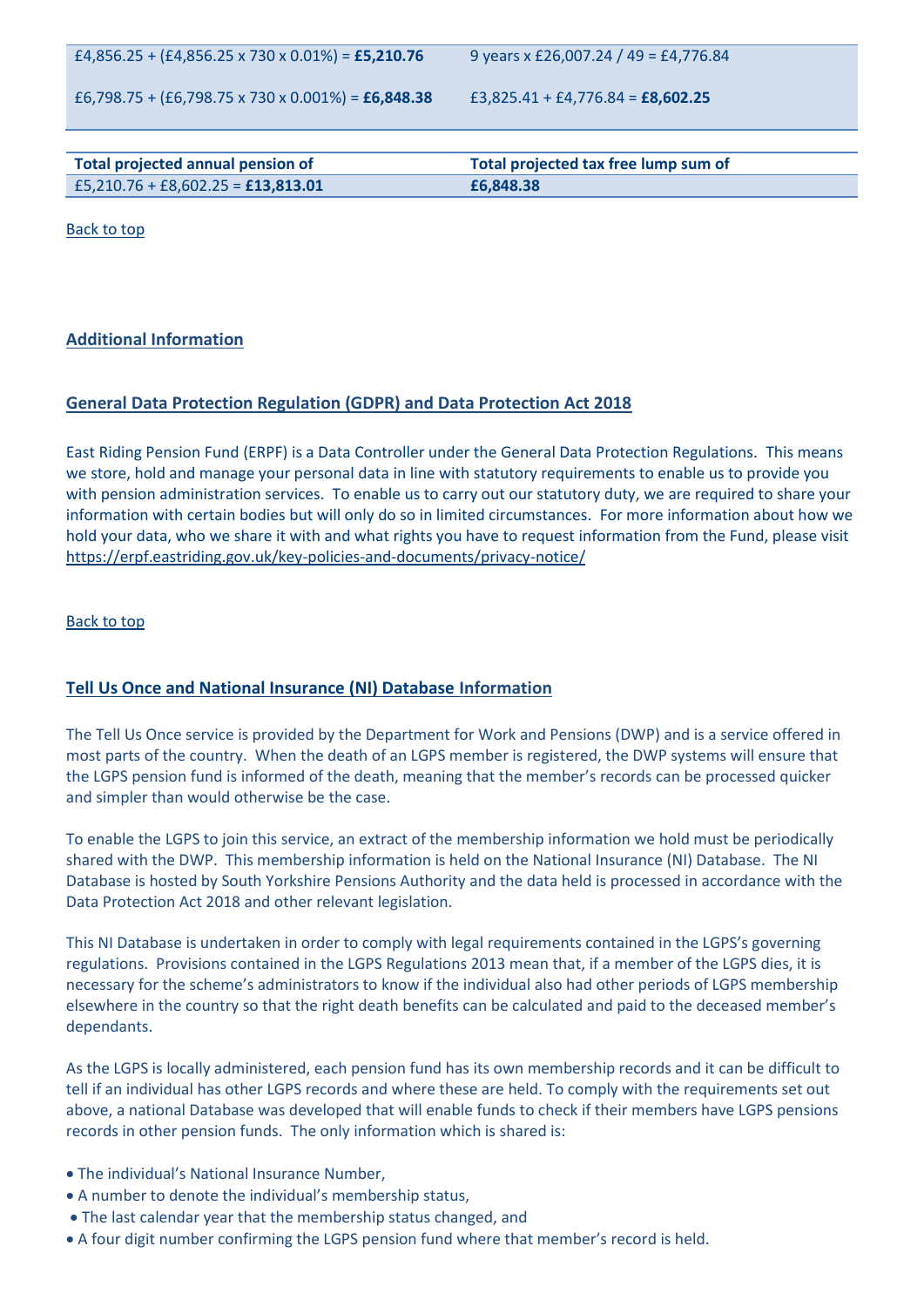£4,856.25 + (£4,856.25 x 730 x 0.01%) = **£5,210.76**

9 years x £26,007.24 / 49 = £4,776.84

£6,798.75 + (£6,798.75 x 730 x 0.001%) = **£6,848.38**

£3,825.41 + £4,776.84 = **£8,602.25**

| Total projected annual pension of    | Total projected tax free lump sum of |
|--------------------------------------|--------------------------------------|
| $E5,210.76 + E8,602.25 = E13,813.01$ | £6,848,38                            |

Back to top

# <span id="page-10-0"></span>**Additional Information**

# **General Data Protection Regulation (GDPR) and Data Protection Act 2018**

East Riding Pension Fund (ERPF) is a Data Controller under the General Data Protection Regulations. This means we store, hold and manage your personal data in line with statutory requirements to enable us to provide you with pension administration services. To enable us to carry out our statutory duty, we are required to share your information with certain bodies but will only do so in limited circumstances. For more information about how we hold your data, who we share it with and what rights you have to request information from the Fund, please visit https://erpf.eastriding.gov.uk/key-policies-and-documents/privacy-notice/

#### Back to top

# **Tell Us Once and National Insurance (NI) Database Information**

The Tell Us Once service is provided by the Department for Work and Pensions (DWP) and is a service offered in most parts of the country. When the death of an LGPS member is registered, the DWP systems will ensure that the LGPS pension fund is informed of the death, meaning that the member's records can be processed quicker and simpler than would otherwise be the case.

To enable the LGPS to join this service, an extract of the membership information we hold must be periodically shared with the DWP. This membership information is held on the National Insurance (NI) Database. The NI Database is hosted by South Yorkshire Pensions Authority and the data held is processed in accordance with the Data Protection Act 2018 and other relevant legislation.

This NI Database is undertaken in order to comply with legal requirements contained in the LGPS's governing regulations. Provisions contained in the LGPS Regulations 2013 mean that, if a member of the LGPS dies, it is necessary for the scheme's administrators to know if the individual also had other periods of LGPS membership elsewhere in the country so that the right death benefits can be calculated and paid to the deceased member's dependants.

As the LGPS is locally administered, each pension fund has its own membership records and it can be difficult to tell if an individual has other LGPS records and where these are held. To comply with the requirements set out above, a national Database was developed that will enable funds to check if their members have LGPS pensions records in other pension funds. The only information which is shared is:

- The individual's National Insurance Number,
- A number to denote the individual's membership status,
- The last calendar year that the membership status changed, and
- A four digit number confirming the LGPS pension fund where that member's record is held.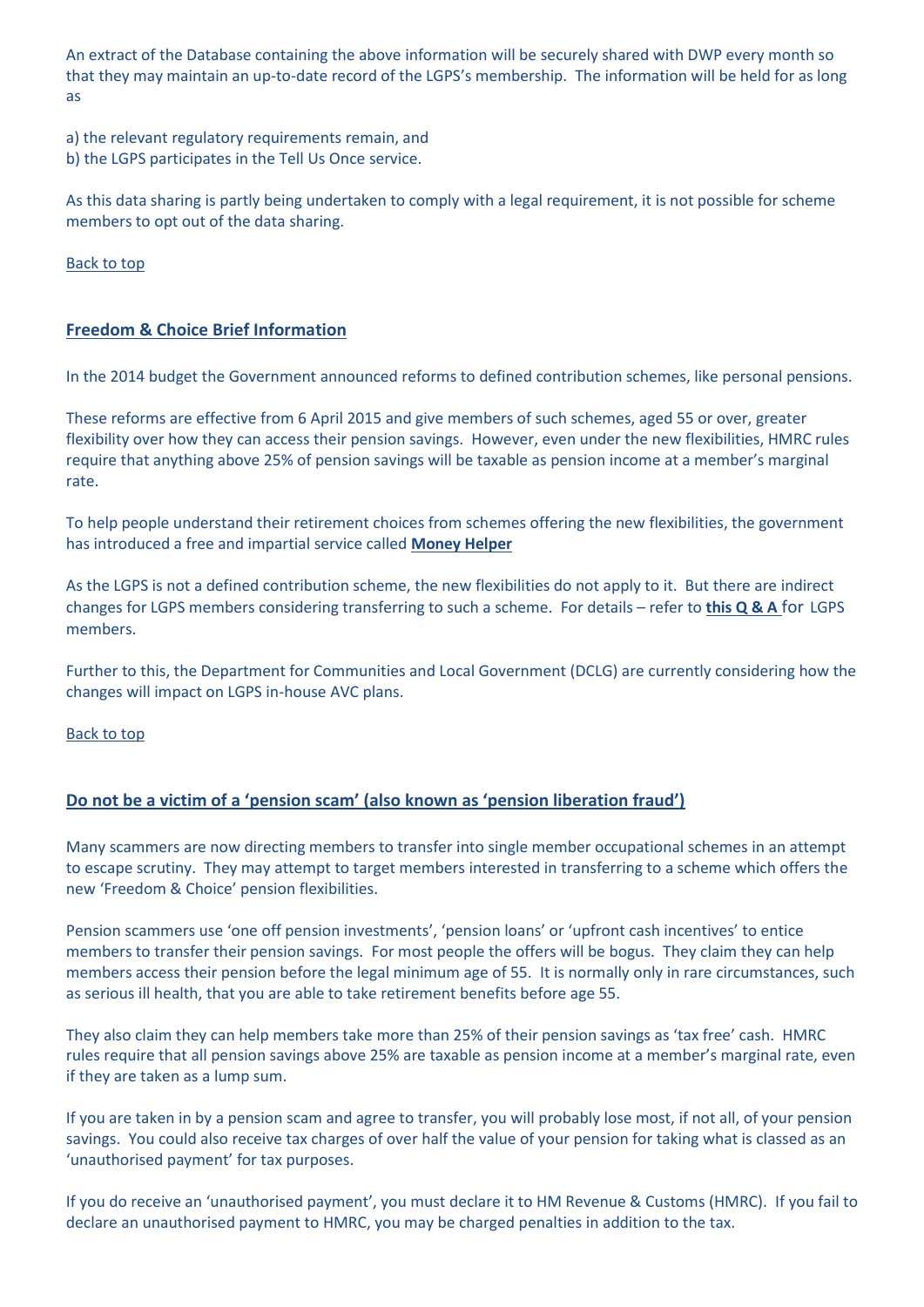An extract of the Database containing the above information will be securely shared with DWP every month so that they may maintain an up-to-date record of the LGPS's membership. The information will be held for as long as

a) the relevant regulatory requirements remain, and b) the LGPS participates in the Tell Us Once service.

As this data sharing is partly being undertaken to comply with a legal requirement, it is not possible for scheme members to opt out of the data sharing.

Back to top

# **Freedom & Choice Brief Information**

In the 2014 budget the Government announced reforms to defined contribution schemes, like personal pensions.

These reforms are effective from 6 April 2015 and give members of such schemes, aged 55 or over, greater flexibility over how they can access their pension savings. However, even under the new flexibilities, HMRC rules require that anything above 25% of pension savings will be taxable as pension income at a member's marginal rate.

To help people understand their retirement choices from schemes offering the new flexibilities, the government has introduced a free and impartial service called **[Money Helper](https://www.moneyhelper.org.uk/en)**

As the LGPS is not a defined contribution scheme, the new flexibilities do not apply to it. But there are indirect changes for LGPS members considering transferring to such a scheme. For details – refer to **[this Q & A](http://erpf.eastriding.gov.uk/EasySiteWeb/GatewayLink.aspx?alId=600021)** for LGPS members.

Further to this, the Department for Communities and Local Government (DCLG) are currently considering how the changes will impact on LGPS in-house AVC plans.

Back to top

# **Do not be a victim of a 'pension scam' (also known as 'pension liberation fraud')**

Many scammers are now directing members to transfer into single member occupational schemes in an attempt to escape scrutiny. They may attempt to target members interested in transferring to a scheme which offers the new 'Freedom & Choice' pension flexibilities.

Pension scammers use 'one off pension investments', 'pension loans' or 'upfront cash incentives' to entice members to transfer their pension savings. For most people the offers will be bogus. They claim they can help members access their pension before the legal minimum age of 55. It is normally only in rare circumstances, such as serious ill health, that you are able to take retirement benefits before age 55.

They also claim they can help members take more than 25% of their pension savings as 'tax free' cash. HMRC rules require that all pension savings above 25% are taxable as pension income at a member's marginal rate, even if they are taken as a lump sum.

If you are taken in by a pension scam and agree to transfer, you will probably lose most, if not all, of your pension savings. You could also receive tax charges of over half the value of your pension for taking what is classed as an 'unauthorised payment' for tax purposes.

If you do receive an 'unauthorised payment', you must declare it to HM Revenue & Customs (HMRC). If you fail to declare an unauthorised payment to HMRC, you may be charged penalties in addition to the tax.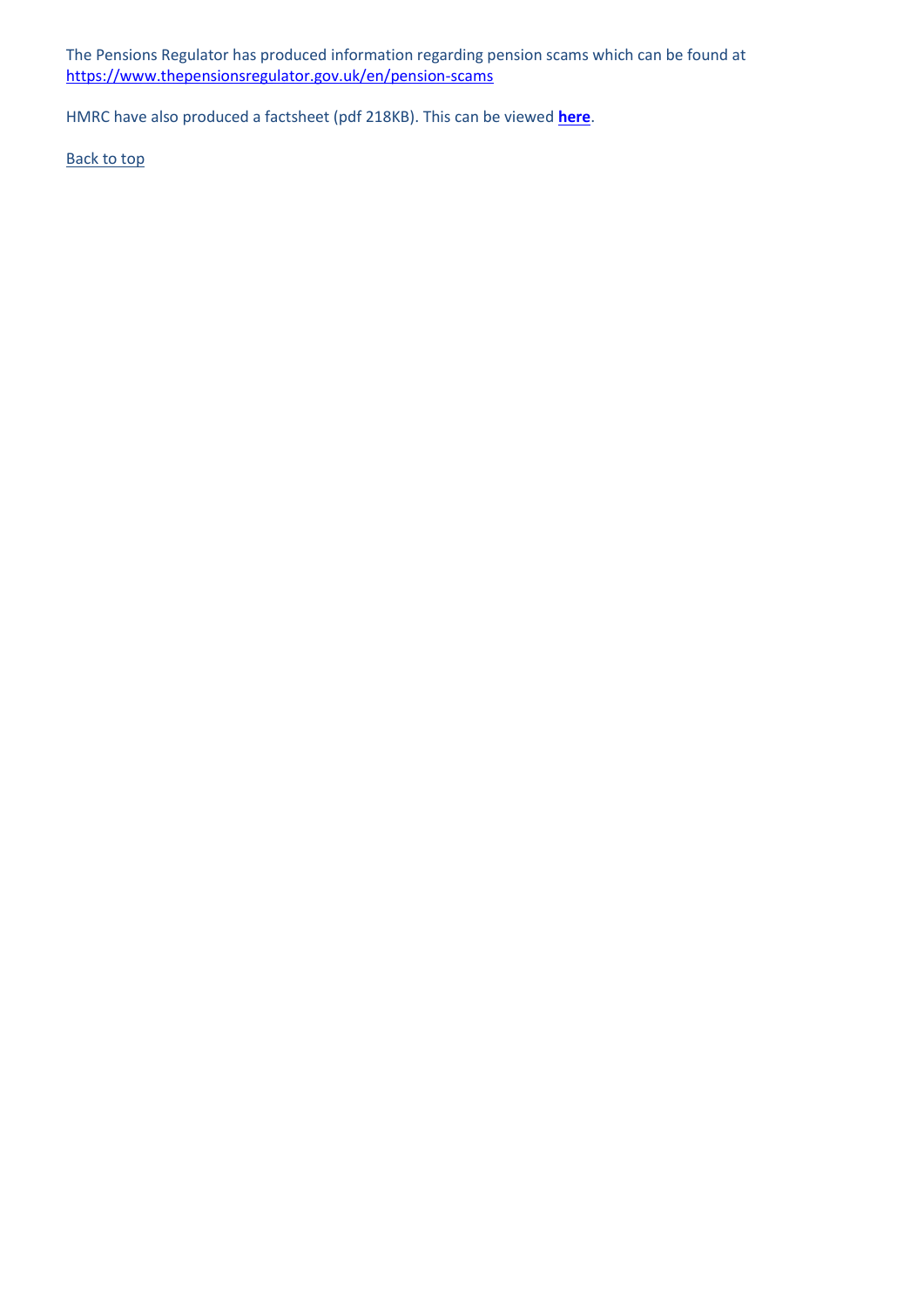The Pensions Regulator has produced information regarding pension scams which can be found at <https://www.thepensionsregulator.gov.uk/en/pension-scams>

HMRC have also produced a factsheet (pdf 218KB). This can be viewed **[here](http://erpf.eastriding.gov.uk/EasySiteWeb/GatewayLink.aspx?alId=620063)**.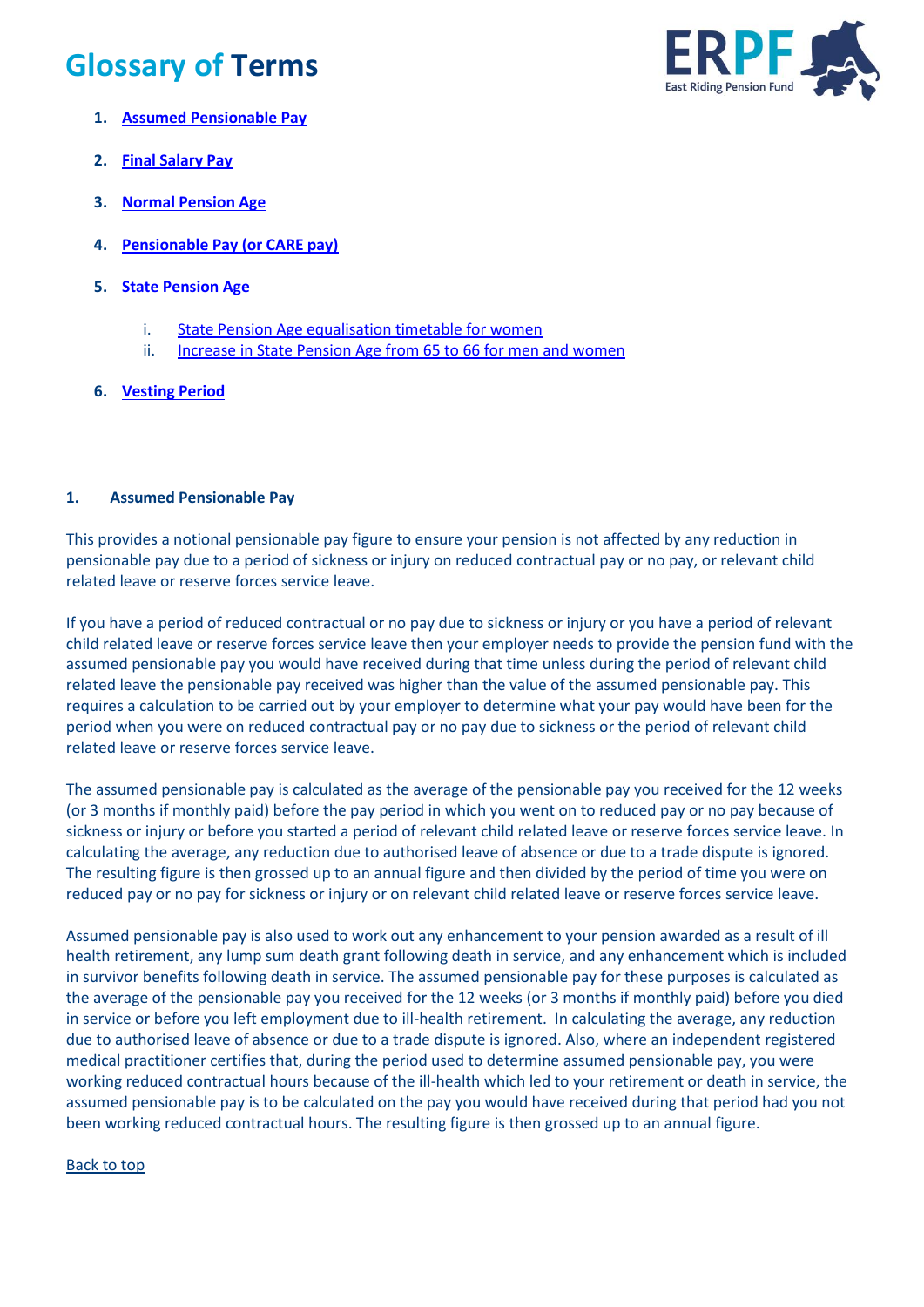# <span id="page-13-0"></span>**Glossary of Terms**



- <span id="page-13-1"></span>**1. [Assumed Pensionable Pay](#page-13-1)**
- **2. [Final Salary Pay](#page-14-0)**
- **3. [Normal Pension Age](#page-14-1)**
- **4. [Pensionable Pay](#page-14-2) (or CARE pay)**
- **5. [State Pension Age](#page-15-0)**
	- i. [State Pension Age equalisation timetable for women](#page-15-0)
	- ii. [Increase in State Pension Age from 65 to 66 for men and women](#page-15-0)
- **6. [Vesting Period](#page-15-1)**

# **1. Assumed Pensionable Pay**

This provides a notional pensionable pay figure to ensure your pension is not affected by any reduction in pensionable pay due to a period of sickness or injury on reduced contractual pay or no pay, or relevant child related leave or reserve forces service leave.

If you have a period of reduced contractual or no pay due to sickness or injury or you have a period of relevant child related leave or reserve forces service leave then your employer needs to provide the pension fund with the assumed pensionable pay you would have received during that time unless during the period of relevant child related leave the pensionable pay received was higher than the value of the assumed pensionable pay. This requires a calculation to be carried out by your employer to determine what your pay would have been for the period when you were on reduced contractual pay or no pay due to sickness or the period of relevant child related leave or reserve forces service leave.

The assumed pensionable pay is calculated as the average of the pensionable pay you received for the 12 weeks (or 3 months if monthly paid) before the pay period in which you went on to reduced pay or no pay because of sickness or injury or before you started a period of relevant child related leave or reserve forces service leave. In calculating the average, any reduction due to authorised leave of absence or due to a trade dispute is ignored. The resulting figure is then grossed up to an annual figure and then divided by the period of time you were on reduced pay or no pay for sickness or injury or on relevant child related leave or reserve forces service leave.

Assumed pensionable pay is also used to work out any enhancement to your pension awarded as a result of ill health retirement, any lump sum death grant following death in service, and any enhancement which is included in survivor benefits following death in service. The assumed pensionable pay for these purposes is calculated as the average of the pensionable pay you received for the 12 weeks (or 3 months if monthly paid) before you died in service or before you left employment due to ill-health retirement. In calculating the average, any reduction due to authorised leave of absence or due to a trade dispute is ignored. Also, where an independent registered medical practitioner certifies that, during the period used to determine assumed pensionable pay, you were working reduced contractual hours because of the ill-health which led to your retirement or death in service, the assumed pensionable pay is to be calculated on the pay you would have received during that period had you not been working reduced contractual hours. The resulting figure is then grossed up to an annual figure.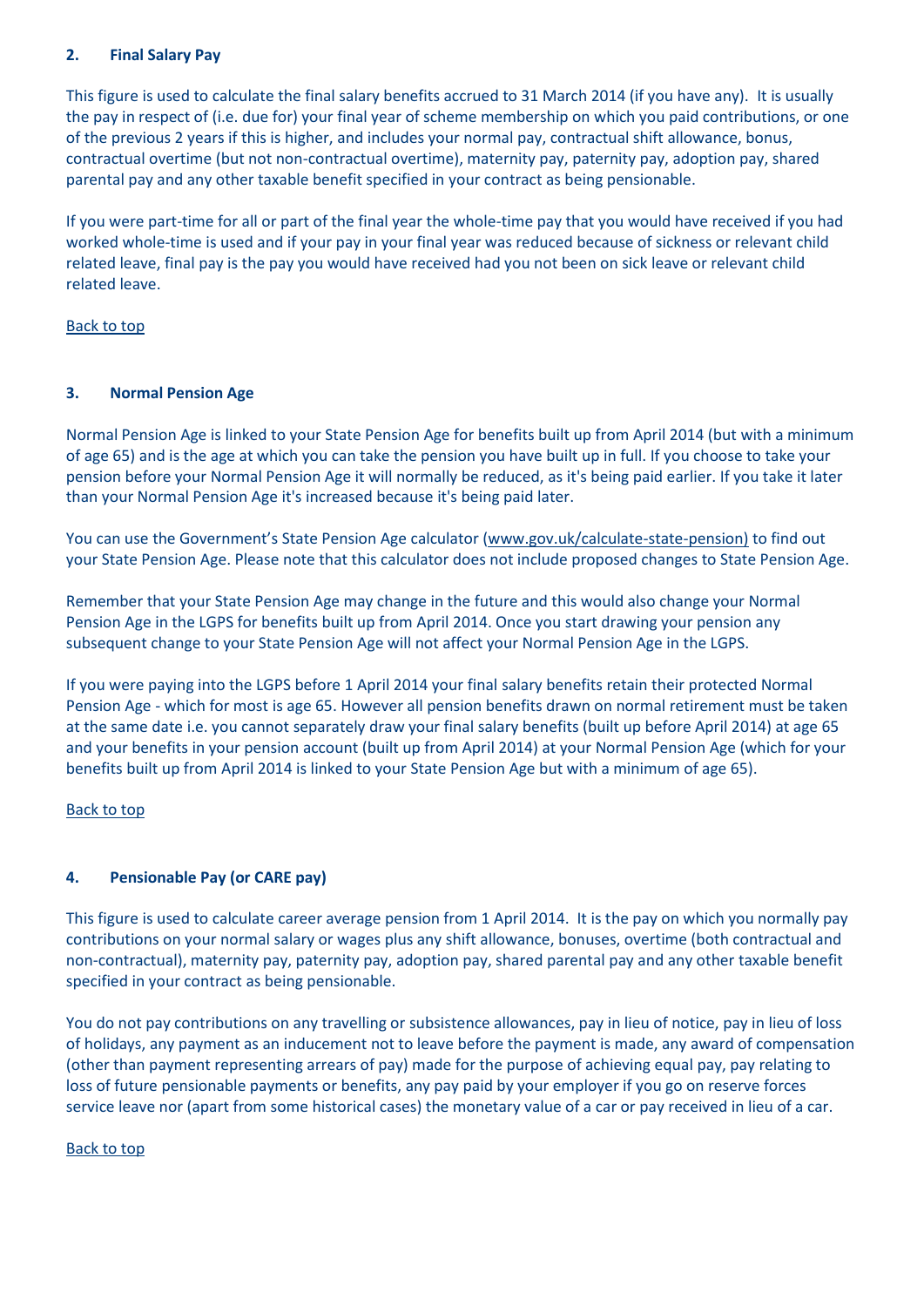# <span id="page-14-0"></span>**2. Final Salary Pay**

This figure is used to calculate the final salary benefits accrued to 31 March 2014 (if you have any). It is usually the pay in respect of (i.e. due for) your final year of scheme membership on which you paid contributions, or one of the previous 2 years if this is higher, and includes your normal pay, contractual shift allowance, bonus, contractual overtime (but not non-contractual overtime), maternity pay, paternity pay, adoption pay, shared parental pay and any other taxable benefit specified in your contract as being pensionable.

If you were part-time for all or part of the final year the whole-time pay that you would have received if you had worked whole-time is used and if your pay in your final year was reduced because of sickness or relevant child related leave, final pay is the pay you would have received had you not been on sick leave or relevant child related leave.

Back to top

# <span id="page-14-1"></span>**3. Normal Pension Age**

Normal Pension Age is linked to your State Pension Age for benefits built up from April 2014 (but with a minimum of age 65) and is the age at which you can take the pension you have built up in full. If you choose to take your pension before your Normal Pension Age it will normally be reduced, as it's being paid earlier. If you take it later than your Normal Pension Age it's increased because it's being paid later.

You can use the Government's State Pension Age calculator ([www.gov.uk/calculate-state-pension\)](http://www.gov.uk/calculate-state-pension) to find out your State Pension Age. Please note that this calculator does not include proposed changes to State Pension Age.

Remember that your State Pension Age may change in the future and this would also change your Normal Pension Age in the LGPS for benefits built up from April 2014. Once you start drawing your pension any subsequent change to your State Pension Age will not affect your Normal Pension Age in the LGPS.

If you were paying into the LGPS before 1 April 2014 your final salary benefits retain their protected Normal Pension Age - which for most is age 65. However all pension benefits drawn on normal retirement must be taken at the same date i.e. you cannot separately draw your final salary benefits (built up before April 2014) at age 65 and your benefits in your pension account (built up from April 2014) at your Normal Pension Age (which for your benefits built up from April 2014 is linked to your State Pension Age but with a minimum of age 65).

# Back to top

# <span id="page-14-2"></span>**4. Pensionable Pay (or CARE pay)**

This figure is used to calculate career average pension from 1 April 2014. It is the pay on which you normally pay contributions on your normal salary or wages plus any shift allowance, bonuses, overtime (both contractual and non-contractual), maternity pay, paternity pay, adoption pay, shared parental pay and any other taxable benefit specified in your contract as being pensionable.

You do not pay contributions on any travelling or subsistence allowances, pay in lieu of notice, pay in lieu of loss of holidays, any payment as an inducement not to leave before the payment is made, any award of compensation (other than payment representing arrears of pay) made for the purpose of achieving equal pay, pay relating to loss of future pensionable payments or benefits, any pay paid by your employer if you go on reserve forces service leave nor (apart from some historical cases) the monetary value of a car or pay received in lieu of a car.